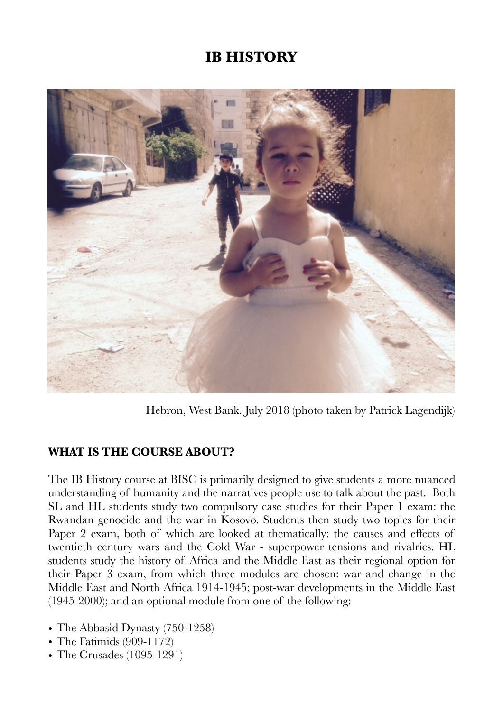# **IB HISTORY**



Hebron, West Bank. July 2018 (photo taken by Patrick Lagendijk)

#### **WHAT IS THE COURSE ABOUT?**

The IB History course at BISC is primarily designed to give students a more nuanced understanding of humanity and the narratives people use to talk about the past. Both SL and HL students study two compulsory case studies for their Paper 1 exam: the Rwandan genocide and the war in Kosovo. Students then study two topics for their Paper 2 exam, both of which are looked at thematically: the causes and effects of twentieth century wars and the Cold War - superpower tensions and rivalries. HL students study the history of Africa and the Middle East as their regional option for their Paper 3 exam, from which three modules are chosen: war and change in the Middle East and North Africa 1914-1945; post-war developments in the Middle East (1945-2000); and an optional module from one of the following:

- The Abbasid Dynasty (750-1258)
- The Fatimids (909-1172)
- The Crusades (1095-1291)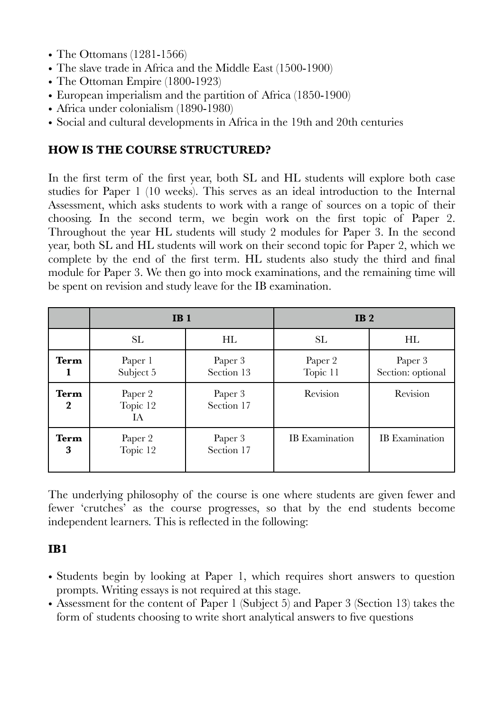- The Ottomans (1281-1566)
- The slave trade in Africa and the Middle East (1500-1900)
- The Ottoman Empire (1800-1923)
- European imperialism and the partition of Africa (1850-1900)
- Africa under colonialism (1890-1980)
- Social and cultural developments in Africa in the 19th and 20th centuries

#### **HOW IS THE COURSE STRUCTURED?**

In the first term of the first year, both SL and HL students will explore both case studies for Paper 1 (10 weeks). This serves as an ideal introduction to the Internal Assessment, which asks students to work with a range of sources on a topic of their choosing. In the second term, we begin work on the first topic of Paper 2. Throughout the year HL students will study 2 modules for Paper 3. In the second year, both SL and HL students will work on their second topic for Paper 2, which we complete by the end of the first term. HL students also study the third and final module for Paper 3. We then go into mock examinations, and the remaining time will be spent on revision and study leave for the IB examination.

|                                 | IB <sub>1</sub>           |                       | IB <sub>2</sub>       |                              |
|---------------------------------|---------------------------|-----------------------|-----------------------|------------------------------|
|                                 | <b>SL</b>                 | HL                    | <b>SL</b>             | HL                           |
| Term                            | Paper 1<br>Subject 5      | Paper 3<br>Section 13 | Paper 2<br>Topic 11   | Paper 3<br>Section: optional |
| <b>Term</b><br>$\boldsymbol{2}$ | Paper 2<br>Topic 12<br>IА | Paper 3<br>Section 17 | Revision              | Revision                     |
| <b>Term</b><br>3                | Paper 2<br>Topic 12       | Paper 3<br>Section 17 | <b>IB</b> Examination | <b>IB</b> Examination        |

The underlying philosophy of the course is one where students are given fewer and fewer 'crutches' as the course progresses, so that by the end students become independent learners. This is reflected in the following:

#### **IB1**

- Students begin by looking at Paper 1, which requires short answers to question prompts. Writing essays is not required at this stage.
- Assessment for the content of Paper 1 (Subject 5) and Paper 3 (Section 13) takes the form of students choosing to write short analytical answers to five questions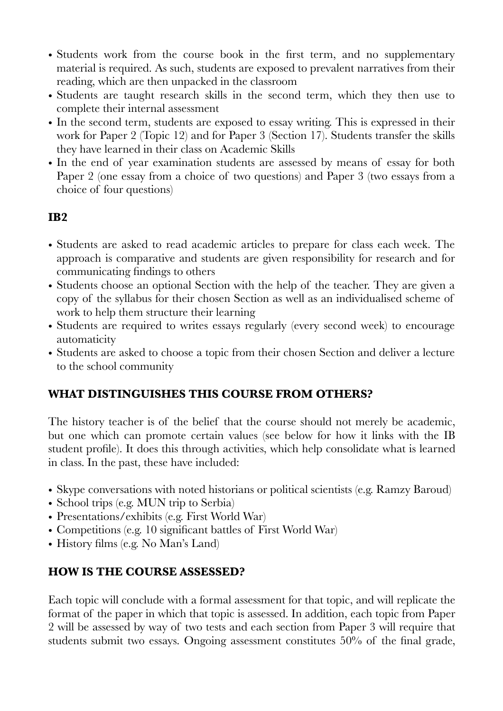- Students work from the course book in the first term, and no supplementary material is required. As such, students are exposed to prevalent narratives from their reading, which are then unpacked in the classroom
- Students are taught research skills in the second term, which they then use to complete their internal assessment
- In the second term, students are exposed to essay writing. This is expressed in their work for Paper 2 (Topic 12) and for Paper 3 (Section 17). Students transfer the skills they have learned in their class on Academic Skills
- In the end of year examination students are assessed by means of essay for both Paper 2 (one essay from a choice of two questions) and Paper 3 (two essays from a choice of four questions)

## **IB2**

- Students are asked to read academic articles to prepare for class each week. The approach is comparative and students are given responsibility for research and for communicating findings to others
- Students choose an optional Section with the help of the teacher. They are given a copy of the syllabus for their chosen Section as well as an individualised scheme of work to help them structure their learning
- Students are required to writes essays regularly (every second week) to encourage automaticity
- Students are asked to choose a topic from their chosen Section and deliver a lecture to the school community

#### **WHAT DISTINGUISHES THIS COURSE FROM OTHERS?**

The history teacher is of the belief that the course should not merely be academic, but one which can promote certain values (see below for how it links with the IB student profile). It does this through activities, which help consolidate what is learned in class. In the past, these have included:

- Skype conversations with noted historians or political scientists (e.g. Ramzy Baroud)
- School trips (e.g. MUN trip to Serbia)
- Presentations/exhibits (e.g. First World War)
- Competitions (e.g. 10 significant battles of First World War)
- History films (e.g. No Man's Land)

## **HOW IS THE COURSE ASSESSED?**

Each topic will conclude with a formal assessment for that topic, and will replicate the format of the paper in which that topic is assessed. In addition, each topic from Paper 2 will be assessed by way of two tests and each section from Paper 3 will require that students submit two essays. Ongoing assessment constitutes 50% of the final grade,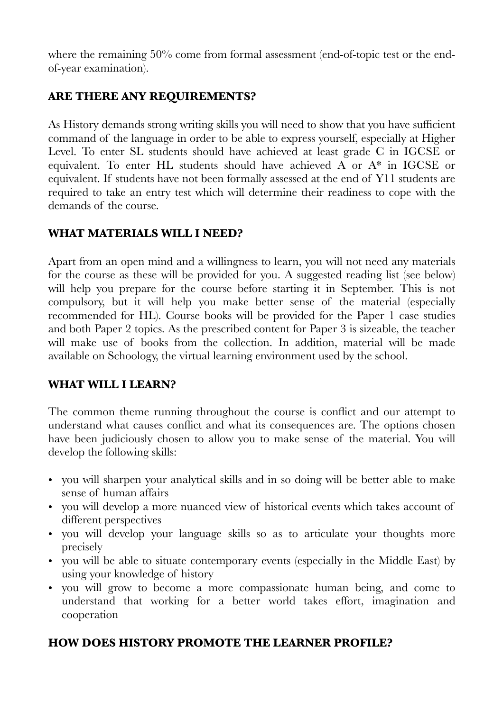where the remaining 50% come from formal assessment (end-of-topic test or the endof-year examination).

# **ARE THERE ANY REQUIREMENTS?**

As History demands strong writing skills you will need to show that you have sufficient command of the language in order to be able to express yourself, especially at Higher Level. To enter SL students should have achieved at least grade C in IGCSE or equivalent. To enter HL students should have achieved A or A\* in IGCSE or equivalent. If students have not been formally assessed at the end of Y11 students are required to take an entry test which will determine their readiness to cope with the demands of the course.

# **WHAT MATERIALS WILL I NEED?**

Apart from an open mind and a willingness to learn, you will not need any materials for the course as these will be provided for you. A suggested reading list (see below) will help you prepare for the course before starting it in September. This is not compulsory, but it will help you make better sense of the material (especially recommended for HL). Course books will be provided for the Paper 1 case studies and both Paper 2 topics. As the prescribed content for Paper 3 is sizeable, the teacher will make use of books from the collection. In addition, material will be made available on Schoology, the virtual learning environment used by the school.

## **WHAT WILL I LEARN?**

The common theme running throughout the course is conflict and our attempt to understand what causes conflict and what its consequences are. The options chosen have been judiciously chosen to allow you to make sense of the material. You will develop the following skills:

- you will sharpen your analytical skills and in so doing will be better able to make sense of human affairs
- you will develop a more nuanced view of historical events which takes account of different perspectives
- you will develop your language skills so as to articulate your thoughts more precisely
- you will be able to situate contemporary events (especially in the Middle East) by using your knowledge of history
- you will grow to become a more compassionate human being, and come to understand that working for a better world takes effort, imagination and cooperation

#### **HOW DOES HISTORY PROMOTE THE LEARNER PROFILE?**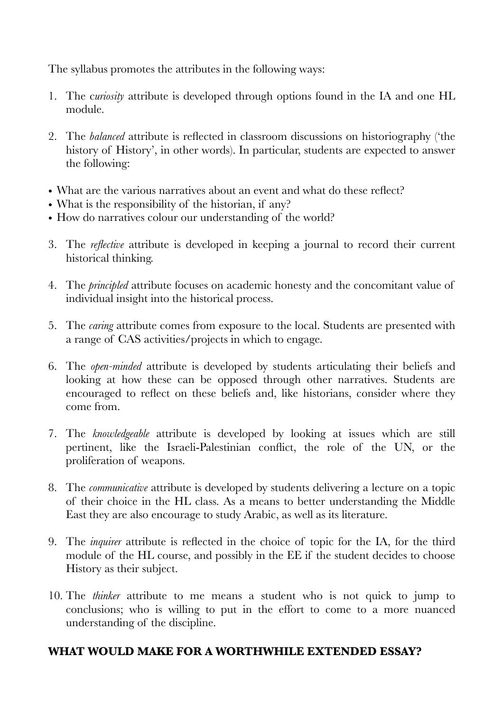The syllabus promotes the attributes in the following ways:

- 1. The c*uriosity* attribute is developed through options found in the IA and one HL module.
- 2. The *balanced* attribute is reflected in classroom discussions on historiography ('the history of History', in other words). In particular, students are expected to answer the following:
- What are the various narratives about an event and what do these reflect?
- What is the responsibility of the historian, if any?
- How do narratives colour our understanding of the world?
- 3. The *reflective* attribute is developed in keeping a journal to record their current historical thinking.
- 4. The *principled* attribute focuses on academic honesty and the concomitant value of individual insight into the historical process.
- 5. The *caring* attribute comes from exposure to the local. Students are presented with a range of CAS activities/projects in which to engage.
- 6. The *open-minded* attribute is developed by students articulating their beliefs and looking at how these can be opposed through other narratives. Students are encouraged to reflect on these beliefs and, like historians, consider where they come from.
- 7. The *knowledgeable* attribute is developed by looking at issues which are still pertinent, like the Israeli-Palestinian conflict, the role of the UN, or the proliferation of weapons.
- 8. The *communicative* attribute is developed by students delivering a lecture on a topic of their choice in the HL class. As a means to better understanding the Middle East they are also encourage to study Arabic, as well as its literature.
- 9. The *inquirer* attribute is reflected in the choice of topic for the IA, for the third module of the HL course, and possibly in the EE if the student decides to choose History as their subject.
- 10. The *thinker* attribute to me means a student who is not quick to jump to conclusions; who is willing to put in the effort to come to a more nuanced understanding of the discipline.

#### **WHAT WOULD MAKE FOR A WORTHWHILE EXTENDED ESSAY?**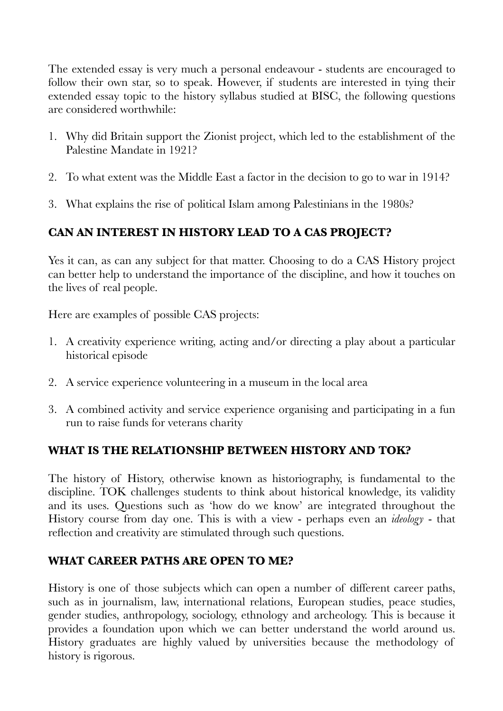The extended essay is very much a personal endeavour - students are encouraged to follow their own star, so to speak. However, if students are interested in tying their extended essay topic to the history syllabus studied at BISC, the following questions are considered worthwhile:

- 1. Why did Britain support the Zionist project, which led to the establishment of the Palestine Mandate in 1921?
- 2. To what extent was the Middle East a factor in the decision to go to war in 1914?
- 3. What explains the rise of political Islam among Palestinians in the 1980s?

# **CAN AN INTEREST IN HISTORY LEAD TO A CAS PROJECT?**

Yes it can, as can any subject for that matter. Choosing to do a CAS History project can better help to understand the importance of the discipline, and how it touches on the lives of real people.

Here are examples of possible CAS projects:

- 1. A creativity experience writing, acting and/or directing a play about a particular historical episode
- 2. A service experience volunteering in a museum in the local area
- 3. A combined activity and service experience organising and participating in a fun run to raise funds for veterans charity

## **WHAT IS THE RELATIONSHIP BETWEEN HISTORY AND TOK?**

The history of History, otherwise known as historiography, is fundamental to the discipline. TOK challenges students to think about historical knowledge, its validity and its uses. Questions such as 'how do we know' are integrated throughout the History course from day one. This is with a view - perhaps even an *ideology* - that reflection and creativity are stimulated through such questions.

## **WHAT CAREER PATHS ARE OPEN TO ME?**

History is one of those subjects which can open a number of different career paths, such as in journalism, law, international relations, European studies, peace studies, gender studies, anthropology, sociology, ethnology and archeology. This is because it provides a foundation upon which we can better understand the world around us. History graduates are highly valued by universities because the methodology of history is rigorous.